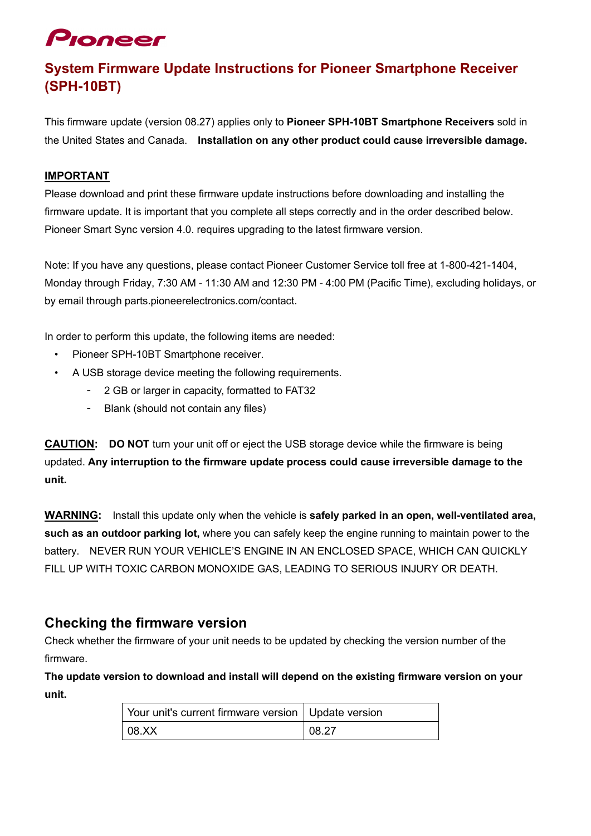# Pioneer

## **System Firmware Update Instructions for Pioneer Smartphone Receiver (SPH-10BT)**

This firmware update (version 08.27) applies only to **Pioneer SPH-10BT Smartphone Receivers** sold in the United States and Canada. **Installation on any other product could cause irreversible damage.**

#### **IMPORTANT**

Please download and print these firmware update instructions before downloading and installing the firmware update. It is important that you complete all steps correctly and in the order described below. Pioneer Smart Sync version 4.0. requires upgrading to the latest firmware version.

Note: If you have any questions, please contact Pioneer Customer Service toll free at 1-800-421-1404, Monday through Friday, 7:30 AM - 11:30 AM and 12:30 PM - 4:00 PM (Pacific Time), excluding holidays, or by email through parts.pioneerelectronics.com/contact.

In order to perform this update, the following items are needed:

- Pioneer SPH-10BT Smartphone receiver.
- A USB storage device meeting the following requirements.
	- 2 GB or larger in capacity, formatted to FAT32
	- Blank (should not contain any files)

**CAUTION: DO NOT** turn your unit off or eject the USB storage device while the firmware is being updated. **Any interruption to the firmware update process could cause irreversible damage to the unit.**

**WARNING:** Install this update only when the vehicle is **safely parked in an open, well-ventilated area, such as an outdoor parking lot,** where you can safely keep the engine running to maintain power to the battery. NEVER RUN YOUR VEHICLE'S ENGINE IN AN ENCLOSED SPACE, WHICH CAN QUICKLY FILL UP WITH TOXIC CARBON MONOXIDE GAS, LEADING TO SERIOUS INJURY OR DEATH.

## **Checking the firmware version**

Check whether the firmware of your unit needs to be updated by checking the version number of the firmware.

**The update version to download and install will depend on the existing firmware version on your unit.**

| Your unit's current firmware version   Update version |       |
|-------------------------------------------------------|-------|
| 08.XX                                                 | 08.27 |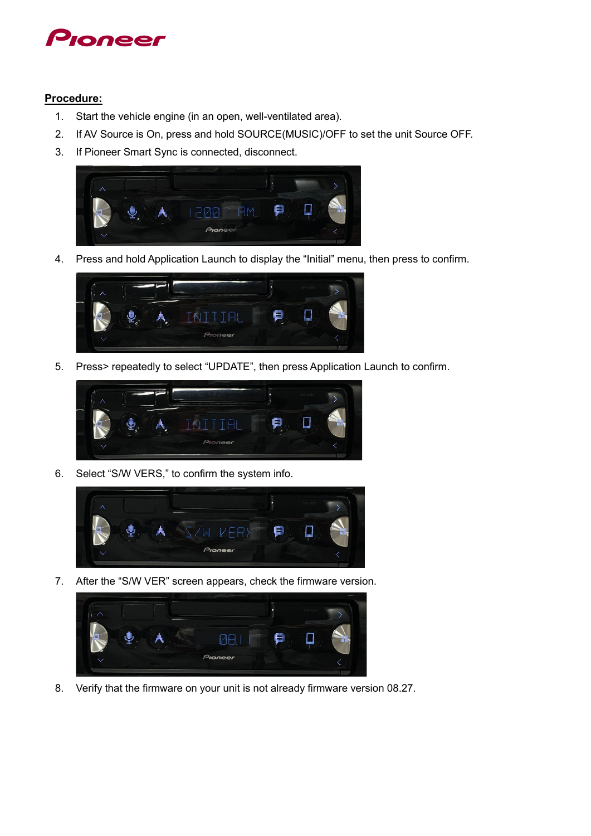

#### **Procedure:**

- 1. Start the vehicle engine (in an open, well-ventilated area).
- 2. If AV Source is On, press and hold SOURCE(MUSIC)/OFF to set the unit Source OFF.
- 3. If Pioneer Smart Sync is connected, disconnect.



4. Press and hold Application Launch to display the "Initial" menu, then press to confirm.



5. Press> repeatedly to select "UPDATE", then press Application Launch to confirm.



6. Select "S/W VERS," to confirm the system info.



7. After the "S/W VER" screen appears, check the firmware version.



8. Verify that the firmware on your unit is not already firmware version 08.27.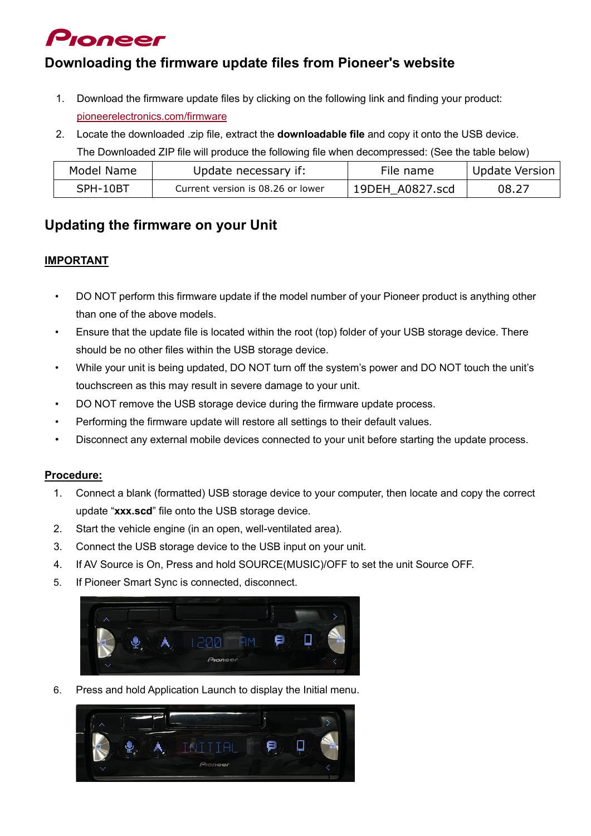## Proneer

## **Downloading the firmware update files from Pioneer's website**

- 1. Download the firmware update files by clicking on the following link and finding your product: [pioneerelectronics.com/firmware](http://www.pioneerelectronics.com/firmware)
- 2. Locate the downloaded .zip file, extract the **downloadable file** and copy it onto the USB device. The Downloaded ZIP file will produce the following file when decompressed: (See the table below)

| Model Name | Update necessary if:              | File name       | Update Version |
|------------|-----------------------------------|-----------------|----------------|
| SPH-10BT   | Current version is 08.26 or lower | 19DEH A0827.scd | 08.27          |

## **Updating the firmware on your Unit**

### **IMPORTANT**

- DO NOT perform this firmware update if the model number of your Pioneer product is anything other than one of the above models.
- Ensure that the update file is located within the root (top) folder of your USB storage device. There should be no other files within the USB storage device.
- While your unit is being updated, DO NOT turn off the system's power and DO NOT touch the unit's touchscreen as this may result in severe damage to your unit.
- DO NOT remove the USB storage device during the firmware update process.
- Performing the firmware update will restore all settings to their default values.
- Disconnect any external mobile devices connected to your unit before starting the update process.

#### **Procedure:**

- 1. Connect a blank (formatted) USB storage device to your computer, then locate and copy the correct update "**xxx.scd**" file onto the USB storage device.
- 2. Start the vehicle engine (in an open, well-ventilated area).
- 3. Connect the USB storage device to the USB input on your unit.
- 4. If AV Source is On, Press and hold SOURCE(MUSIC)/OFF to set the unit Source OFF.
- 5. If Pioneer Smart Sync is connected, disconnect.



6. Press and hold Application Launch to display the Initial menu.

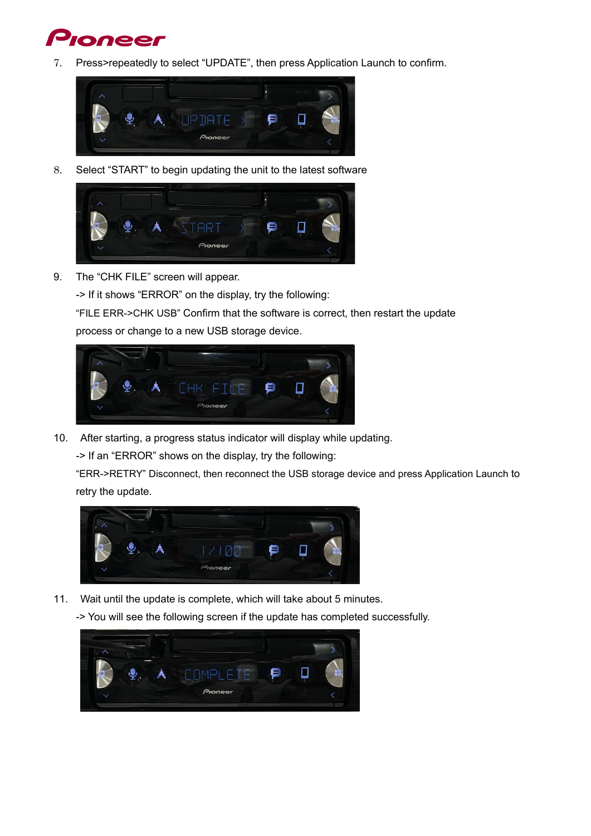## **oneer**

7. Press>repeatedly to select "UPDATE", then press Application Launch to confirm.



8. Select "START" to begin updating the unit to the latest software



9. The "CHK FILE" screen will appear.

-> If it shows "ERROR" on the display, try the following:

"FILE ERR->CHK USB" Confirm that the software is correct, then restart the update

process or change to a new USB storage device.



10. After starting, a progress status indicator will display while updating.

-> If an "ERROR" shows on the display, try the following:

"ERR->RETRY" Disconnect, then reconnect the USB storage device and press Application Launch to retry the update.



11. Wait until the update is complete, which will take about 5 minutes.

-> You will see the following screen if the update has completed successfully.

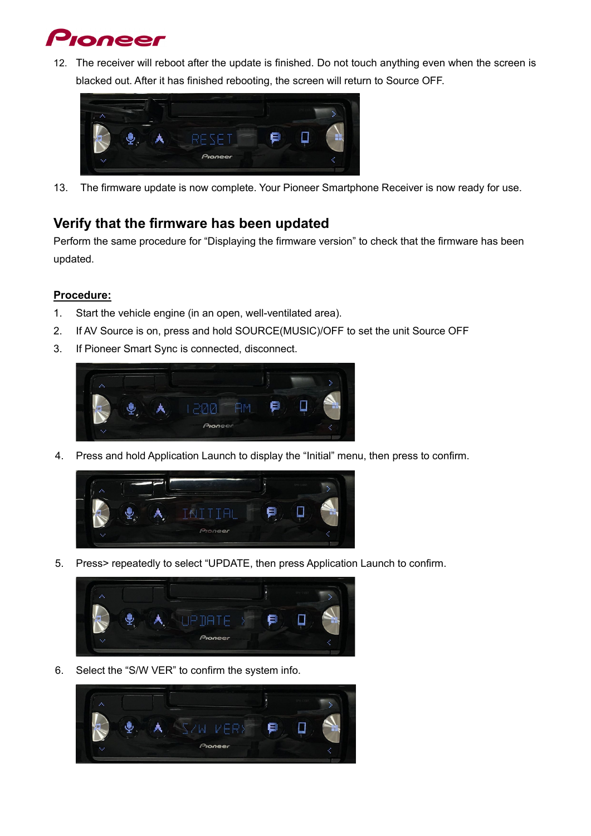

12. The receiver will reboot after the update is finished. Do not touch anything even when the screen is blacked out. After it has finished rebooting, the screen will return to Source OFF.



13. The firmware update is now complete. Your Pioneer Smartphone Receiver is now ready for use.

## **Verify that the firmware has been updated**

Perform the same procedure for "Displaying the firmware version" to check that the firmware has been updated.

#### **Procedure:**

- 1. Start the vehicle engine (in an open, well-ventilated area).
- 2. If AV Source is on, press and hold SOURCE(MUSIC)/OFF to set the unit Source OFF
- 3. If Pioneer Smart Sync is connected, disconnect.



4. Press and hold Application Launch to display the "Initial" menu, then press to confirm.



5. Press> repeatedly to select "UPDATE, then press Application Launch to confirm.



6. Select the "S/W VER" to confirm the system info.